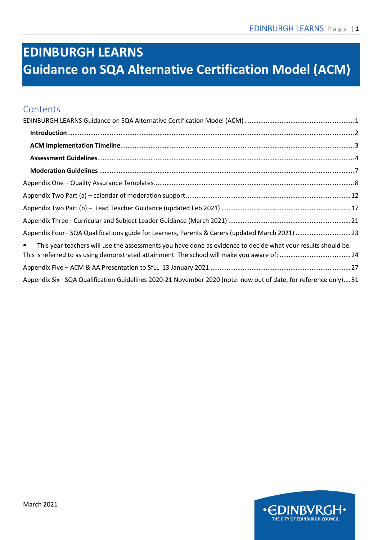# <span id="page-0-0"></span>**EDINBURGH LEARNS Guidance on SQA Alternative Certification Model (ACM)**

### **Contents**

| Appendix Four-SQA Qualifications guide for Learners, Parents & Carers (updated March 2021)  23                                 |  |
|--------------------------------------------------------------------------------------------------------------------------------|--|
| This year teachers will use the assessments you have done as evidence to decide what your results should be.<br>$\blacksquare$ |  |
|                                                                                                                                |  |
| Appendix Six-SQA Qualification Guidelines 2020-21 November 2020 (note: now out of date, for reference only)31                  |  |

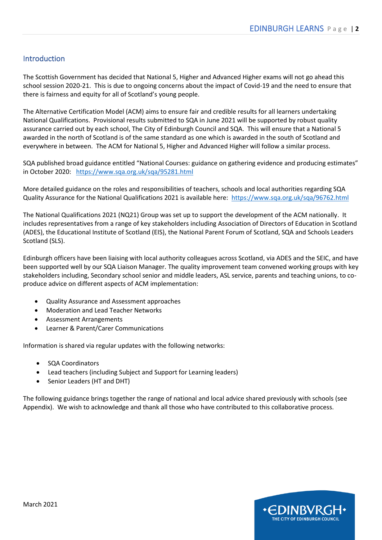#### <span id="page-1-0"></span>Introduction

The Scottish Government has decided that National 5, Higher and Advanced Higher exams will not go ahead this school session 2020-21. This is due to ongoing concerns about the impact of Covid-19 and the need to ensure that there is fairness and equity for all of Scotland's young people.

The Alternative Certification Model (ACM) aims to ensure fair and credible results for all learners undertaking National Qualifications. Provisional results submitted to SQA in June 2021 will be supported by robust quality assurance carried out by each school, The City of Edinburgh Council and SQA. This will ensure that a National 5 awarded in the north of Scotland is of the same standard as one which is awarded in the south of Scotland and everywhere in between. The ACM for National 5, Higher and Advanced Higher will follow a similar process.

SQA published broad guidance entitled "National Courses: guidance on gathering evidence and producing estimates" in October 2020: <https://www.sqa.org.uk/sqa/95281.html>

More detailed guidance on the roles and responsibilities of teachers, schools and local authorities regarding SQA Quality Assurance for the National Qualifications 2021 is available here: <https://www.sqa.org.uk/sqa/96762.html>

The National Qualifications 2021 (NQ21) Group was set up to support the development of the ACM nationally. It includes representatives from a range of key stakeholders including Association of Directors of Education in Scotland (ADES), the Educational Institute of Scotland (EIS), the National Parent Forum of Scotland, SQA and Schools Leaders Scotland (SLS).

Edinburgh officers have been liaising with local authority colleagues across Scotland, via ADES and the SEIC, and have been supported well by our SQA Liaison Manager. The quality improvement team convened working groups with key stakeholders including, Secondary school senior and middle leaders, ASL service, parents and teaching unions, to coproduce advice on different aspects of ACM implementation:

- Quality Assurance and Assessment approaches
- Moderation and Lead Teacher Networks
- Assessment Arrangements
- Learner & Parent/Carer Communications

Information is shared via regular updates with the following networks:

- SQA Coordinators
- Lead teachers (including Subject and Support for Learning leaders)
- Senior Leaders (HT and DHT)

The following guidance brings together the range of national and local advice shared previously with schools (see Appendix). We wish to acknowledge and thank all those who have contributed to this collaborative process.

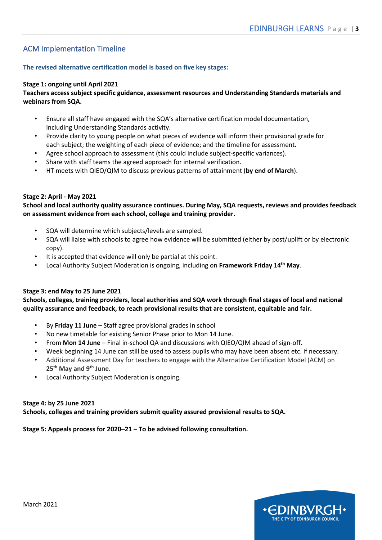#### <span id="page-2-0"></span>ACM Implementation Timeline

#### **The revised alternative certification model is based on five key stages:**

#### **Stage 1: ongoing until April 2021**

#### **Teachers access subject specific guidance, assessment resources and Understanding Standards materials and webinars from SQA.**

- Ensure all staff have engaged with the SQA's alternative certification model documentation, including Understanding Standards activity.
- Provide clarity to young people on what pieces of evidence will inform their provisional grade for each subject; the weighting of each piece of evidence; and the timeline for assessment.
- Agree school approach to assessment (this could include subject-specific variances).
- Share with staff teams the agreed approach for internal verification.
- HT meets with QIEO/QIM to discuss previous patterns of attainment (**by end of March**).

#### **Stage 2: April - May 2021**

**School and local authority quality assurance continues. During May, SQA requests, reviews and provides feedback on assessment evidence from each school, college and training provider.**

- SQA will determine which subjects/levels are sampled.
- SQA will liaise with schools to agree how evidence will be submitted (either by post/uplift or by electronic copy).
- It is accepted that evidence will only be partial at this point.
- Local Authority Subject Moderation is ongoing, including on **Framework Friday 14th May**.

#### **Stage 3: end May to 25 June 2021**

**Schools, colleges, training providers, local authorities and SQA work through final stages of local and national quality assurance and feedback, to reach provisional results that are consistent, equitable and fair.**

- By **Friday 11 June** Staff agree provisional grades in school
- No new timetable for existing Senior Phase prior to Mon 14 June.
- From **Mon 14 June** Final in-school QA and discussions with QIEO/QIM ahead of sign-off.
- Week beginning 14 June can still be used to assess pupils who may have been absent etc. if necessary.
- Additional Assessment Day for teachers to engage with the Alternative Certification Model (ACM) on **25th May and 9th June.**
- Local Authority Subject Moderation is ongoing.

#### **Stage 4: by 25 June 2021 Schools, colleges and training providers submit quality assured provisional results to SQA.**

#### **Stage 5: Appeals process for 2020–21 – To be advised following consultation.**

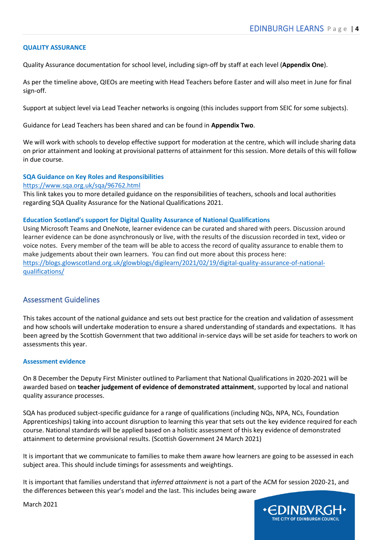#### **QUALITY ASSURANCE**

Quality Assurance documentation for school level, including sign-off by staff at each level (**Appendix One**).

As per the timeline above, QIEOs are meeting with Head Teachers before Easter and will also meet in June for final sign-off.

Support at subject level via Lead Teacher networks is ongoing (this includes support from SEIC for some subjects).

Guidance for Lead Teachers has been shared and can be found in **Appendix Two**.

We will work with schools to develop effective support for moderation at the centre, which will include sharing data on prior attainment and looking at provisional patterns of attainment for this session. More details of this will follow in due course.

#### **SQA Guidance on Key Roles and Responsibilities**

#### <https://www.sqa.org.uk/sqa/96762.html>

This link takes you to more detailed guidance on the responsibilities of teachers, schools and local authorities regarding SQA Quality Assurance for the National Qualifications 2021.

#### **Education Scotland's support for Digital Quality Assurance of National Qualifications**

Using Microsoft Teams and OneNote, learner evidence can be curated and shared with peers. Discussion around learner evidence can be done asynchronously or live, with the results of the discussion recorded in text, video or voice notes. Every member of the team will be able to access the record of quality assurance to enable them to make judgements about their own learners. You can find out more about this process here: [https://blogs.glowscotland.org.uk/glowblogs/digilearn/2021/02/19/digital-quality-assurance-of-national](https://blogs.glowscotland.org.uk/glowblogs/digilearn/2021/02/19/digital-quality-assurance-of-national-qualifications/)[qualifications/](https://blogs.glowscotland.org.uk/glowblogs/digilearn/2021/02/19/digital-quality-assurance-of-national-qualifications/)

#### <span id="page-3-0"></span>Assessment Guidelines

This takes account of the national guidance and sets out best practice for the creation and validation of assessment and how schools will undertake moderation to ensure a shared understanding of standards and expectations. It has been agreed by the Scottish Government that two additional in-service days will be set aside for teachers to work on assessments this year.

#### **Assessment evidence**

On 8 December the Deputy First Minister outlined to Parliament that National Qualifications in 2020-2021 will be awarded based on **teacher judgement of evidence of demonstrated attainment**, supported by local and national quality assurance processes.

SQA has produced subject-specific guidance for a range of qualifications (including NQs, NPA, NCs, Foundation Apprenticeships) taking into account disruption to learning this year that sets out the key evidence required for each course. National standards will be applied based on a holistic assessment of this key evidence of demonstrated attainment to determine provisional results. (Scottish Government 24 March 2021)

It is important that we communicate to families to make them aware how learners are going to be assessed in each subject area. This should include timings for assessments and weightings.

It is important that families understand that *inferred attainment* is not a part of the ACM for session 2020-21, and the differences between this year's model and the last. This includes being aware



March 2021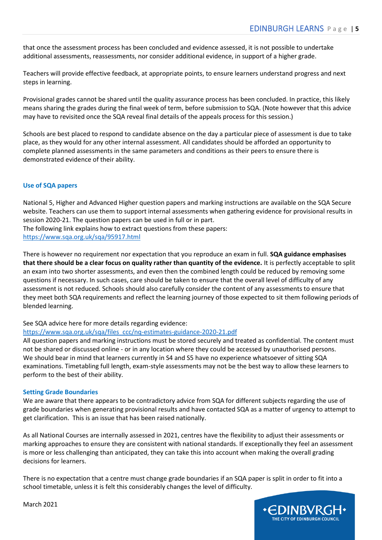that once the assessment process has been concluded and evidence assessed, it is not possible to undertake additional assessments, reassessments, nor consider additional evidence, in support of a higher grade.

Teachers will provide effective feedback, at appropriate points, to ensure learners understand progress and next steps in learning.

Provisional grades cannot be shared until the quality assurance process has been concluded. In practice, this likely means sharing the grades during the final week of term, before submission to SQA. (Note however that this advice may have to revisited once the SQA reveal final details of the appeals process for this session.)

Schools are best placed to respond to candidate absence on the day a particular piece of assessment is due to take place, as they would for any other internal assessment. All candidates should be afforded an opportunity to complete planned assessments in the same parameters and conditions as their peers to ensure there is demonstrated evidence of their ability.

#### **Use of SQA papers**

National 5, Higher and Advanced Higher question papers and marking instructions are available on the SQA Secure website. Teachers can use them to support internal assessments when gathering evidence for provisional results in session 2020-21. The question papers can be used in full or in part. The following link explains how to extract questions from these papers: <https://www.sqa.org.uk/sqa/95917.html>

There is however no requirement nor expectation that you reproduce an exam in full. **SQA guidance emphasises that there should be a clear focus on quality rather than quantity of the evidence.** It is perfectly acceptable to split an exam into two shorter assessments, and even then the combined length could be reduced by removing some questions if necessary. In such cases, care should be taken to ensure that the overall level of difficulty of any assessment is not reduced. Schools should also carefully consider the content of any assessments to ensure that they meet both SQA requirements and reflect the learning journey of those expected to sit them following periods of blended learning.

#### See SQA advice here for more details regarding evidence:

#### [https://www.sqa.org.uk/sqa/files\\_ccc/nq-estimates-guidance-2020-21.pdf](https://www.sqa.org.uk/sqa/files_ccc/nq-estimates-guidance-2020-21.pdf)

All question papers and marking instructions must be stored securely and treated as confidential. The content must not be shared or discussed online - or in any location where they could be accessed by unauthorised persons. We should bear in mind that learners currently in S4 and S5 have no experience whatsoever of sitting SQA examinations. Timetabling full length, exam-style assessments may not be the best way to allow these learners to perform to the best of their ability.

#### **Setting Grade Boundaries**

We are aware that there appears to be contradictory advice from SQA for different subjects regarding the use of grade boundaries when generating provisional results and have contacted SQA as a matter of urgency to attempt to get clarification. This is an issue that has been raised nationally.

As all National Courses are internally assessed in 2021, centres have the flexibility to adjust their assessments or marking approaches to ensure they are consistent with national standards. If exceptionally they feel an assessment is more or less challenging than anticipated, they can take this into account when making the overall grading decisions for learners.

There is no expectation that a centre must change grade boundaries if an SQA paper is split in order to fit into a school timetable, unless it is felt this considerably changes the level of difficulty.



March 2021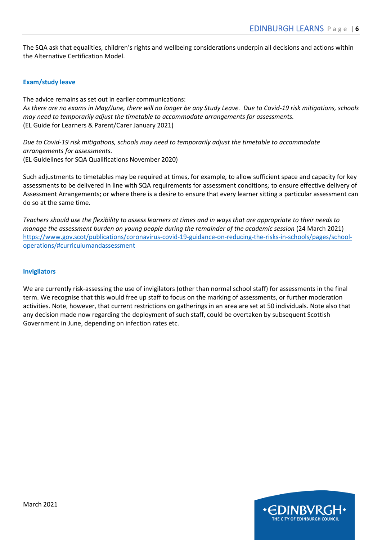The SQA ask that equalities, children's rights and wellbeing considerations underpin all decisions and actions within the Alternative Certification Model.

#### **Exam/study leave**

The advice remains as set out in earlier communications: *As there are no exams in May/June, there will no longer be any Study Leave. Due to Covid-19 risk mitigations, schools may need to temporarily adjust the timetable to accommodate arrangements for assessments.*  (EL Guide for Learners & Parent/Carer January 2021)

*Due to Covid-19 risk mitigations, schools may need to temporarily adjust the timetable to accommodate arrangements for assessments.*  (EL Guidelines for SQA Qualifications November 2020)

Such adjustments to timetables may be required at times, for example, to allow sufficient space and capacity for key assessments to be delivered in line with SQA requirements for assessment conditions*;* to ensure effective delivery of Assessment Arrangements; or where there is a desire to ensure that every learner sitting a particular assessment can do so at the same time.

*Teachers should use the flexibility to assess learners at times and in ways that are appropriate to their needs to manage the assessment burden on young people during the remainder of the academic session (24 March 2021)* [https://www.gov.scot/publications/coronavirus-covid-19-guidance-on-reducing-the-risks-in-schools/pages/school](https://www.gov.scot/publications/coronavirus-covid-19-guidance-on-reducing-the-risks-in-schools/pages/school-operations/#curriculumandassessment)[operations/#curriculumandassessment](https://www.gov.scot/publications/coronavirus-covid-19-guidance-on-reducing-the-risks-in-schools/pages/school-operations/#curriculumandassessment)

#### **Invigilators**

We are currently risk-assessing the use of invigilators (other than normal school staff) for assessments in the final term. We recognise that this would free up staff to focus on the marking of assessments, or further moderation activities. Note, however, that current restrictions on gatherings in an area are set at 50 individuals. Note also that any decision made now regarding the deployment of such staff, could be overtaken by subsequent Scottish Government in June, depending on infection rates etc.

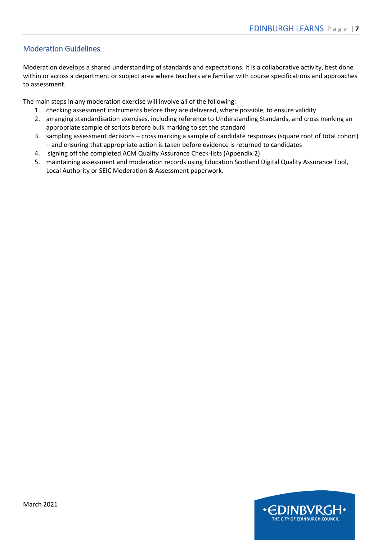#### <span id="page-6-0"></span>Moderation Guidelines

Moderation develops a shared understanding of standards and expectations. It is a collaborative activity, best done within or across a department or subject area where teachers are familiar with course specifications and approaches to assessment.

The main steps in any moderation exercise will involve all of the following:

- 1. checking assessment instruments before they are delivered, where possible, to ensure validity
- 2. arranging standardisation exercises, including reference to Understanding Standards, and cross marking an appropriate sample of scripts before bulk marking to set the standard
- 3. sampling assessment decisions cross marking a sample of candidate responses (square root of total cohort) – and ensuring that appropriate action is taken before evidence is returned to candidates
- 4. signing off the completed ACM Quality Assurance Check-lists (Appendix 2)
- 5. maintaining assessment and moderation records using Education Scotland Digital Quality Assurance Tool, Local Authority or SEIC Moderation & Assessment paperwork.

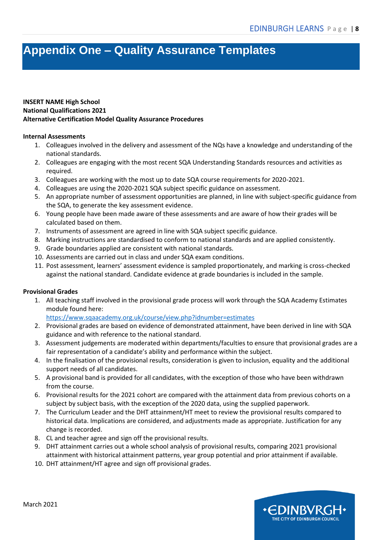### <span id="page-7-0"></span>**Appendix One – Quality Assurance Templates**

#### **INSERT NAME High School National Qualifications 2021 Alternative Certification Model Quality Assurance Procedures**

#### **Internal Assessments**

- 1. Colleagues involved in the delivery and assessment of the NQs have a knowledge and understanding of the national standards.
- 2. Colleagues are engaging with the most recent SQA Understanding Standards resources and activities as required.
- 3. Colleagues are working with the most up to date SQA course requirements for 2020-2021.
- 4. Colleagues are using the 2020-2021 SQA subject specific guidance on assessment.
- 5. An appropriate number of assessment opportunities are planned, in line with subject-specific guidance from the SQA, to generate the key assessment evidence.
- 6. Young people have been made aware of these assessments and are aware of how their grades will be calculated based on them.
- 7. Instruments of assessment are agreed in line with SQA subject specific guidance.
- 8. Marking instructions are standardised to conform to national standards and are applied consistently.
- 9. Grade boundaries applied are consistent with national standards.
- 10. Assessments are carried out in class and under SQA exam conditions.
- 11. Post assessment, learners' assessment evidence is sampled proportionately, and marking is cross-checked against the national standard. Candidate evidence at grade boundaries is included in the sample.

#### **Provisional Grades**

1. All teaching staff involved in the provisional grade process will work through the SQA Academy Estimates module found here:

<https://www.sqaacademy.org.uk/course/view.php?idnumber=estimates>

- 2. Provisional grades are based on evidence of demonstrated attainment, have been derived in line with SQA guidance and with reference to the national standard.
- 3. Assessment judgements are moderated within departments/faculties to ensure that provisional grades are a fair representation of a candidate's ability and performance within the subject.
- 4. In the finalisation of the provisional results, consideration is given to inclusion, equality and the additional support needs of all candidates.
- 5. A provisional band is provided for all candidates, with the exception of those who have been withdrawn from the course.
- 6. Provisional results for the 2021 cohort are compared with the attainment data from previous cohorts on a subject by subject basis, with the exception of the 2020 data, using the supplied paperwork.
- 7. The Curriculum Leader and the DHT attainment/HT meet to review the provisional results compared to historical data. Implications are considered, and adjustments made as appropriate. Justification for any change is recorded.
- 8. CL and teacher agree and sign off the provisional results.
- 9. DHT attainment carries out a whole school analysis of provisional results, comparing 2021 provisional attainment with historical attainment patterns, year group potential and prior attainment if available.
- 10. DHT attainment/HT agree and sign off provisional grades.

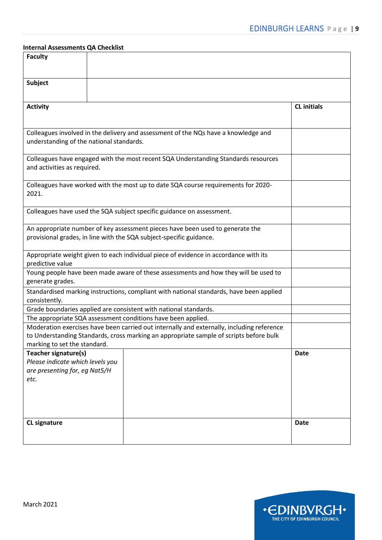#### **Internal Assessments QA Checklist**

| <b>Faculty</b>                           |                                                                                           |                    |
|------------------------------------------|-------------------------------------------------------------------------------------------|--------------------|
|                                          |                                                                                           |                    |
| <b>Subject</b>                           |                                                                                           |                    |
|                                          |                                                                                           |                    |
| <b>Activity</b>                          |                                                                                           | <b>CL</b> initials |
|                                          |                                                                                           |                    |
|                                          | Colleagues involved in the delivery and assessment of the NQs have a knowledge and        |                    |
| understanding of the national standards. |                                                                                           |                    |
|                                          |                                                                                           |                    |
| and activities as required.              | Colleagues have engaged with the most recent SQA Understanding Standards resources        |                    |
|                                          |                                                                                           |                    |
|                                          | Colleagues have worked with the most up to date SQA course requirements for 2020-         |                    |
| 2021.                                    |                                                                                           |                    |
|                                          | Colleagues have used the SQA subject specific guidance on assessment.                     |                    |
|                                          |                                                                                           |                    |
|                                          | An appropriate number of key assessment pieces have been used to generate the             |                    |
|                                          | provisional grades, in line with the SQA subject-specific guidance.                       |                    |
|                                          | Appropriate weight given to each individual piece of evidence in accordance with its      |                    |
| predictive value                         |                                                                                           |                    |
|                                          | Young people have been made aware of these assessments and how they will be used to       |                    |
| generate grades.                         |                                                                                           |                    |
| consistently.                            | Standardised marking instructions, compliant with national standards, have been applied   |                    |
|                                          | Grade boundaries applied are consistent with national standards.                          |                    |
|                                          | The appropriate SQA assessment conditions have been applied.                              |                    |
|                                          | Moderation exercises have been carried out internally and externally, including reference |                    |
| marking to set the standard.             | to Understanding Standards, cross marking an appropriate sample of scripts before bulk    |                    |
| Teacher signature(s)                     |                                                                                           | <b>Date</b>        |
| Please indicate which levels you         |                                                                                           |                    |
| are presenting for, eg Nat5/H            |                                                                                           |                    |
| etc.                                     |                                                                                           |                    |
|                                          |                                                                                           |                    |
|                                          |                                                                                           |                    |
|                                          |                                                                                           |                    |
| <b>CL signature</b>                      |                                                                                           | <b>Date</b>        |
|                                          |                                                                                           |                    |

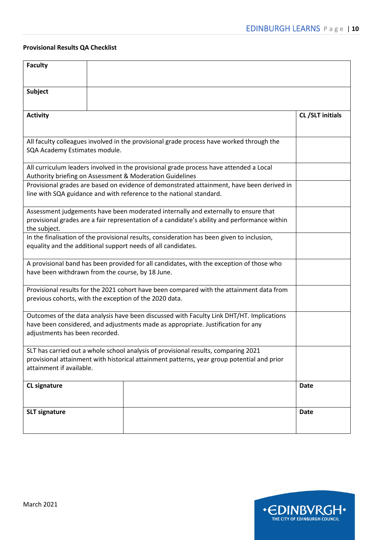#### **Provisional Results QA Checklist**

| <b>Faculty</b>                                               |                                                                                                                                                                                    |                 |
|--------------------------------------------------------------|------------------------------------------------------------------------------------------------------------------------------------------------------------------------------------|-----------------|
| <b>Subject</b>                                               |                                                                                                                                                                                    |                 |
|                                                              |                                                                                                                                                                                    |                 |
| <b>Activity</b>                                              |                                                                                                                                                                                    | CL/SLT initials |
|                                                              |                                                                                                                                                                                    |                 |
| SQA Academy Estimates module.                                | All faculty colleagues involved in the provisional grade process have worked through the                                                                                           |                 |
| Authority briefing on Assessment & Moderation Guidelines     | All curriculum leaders involved in the provisional grade process have attended a Local                                                                                             |                 |
|                                                              | Provisional grades are based on evidence of demonstrated attainment, have been derived in<br>line with SQA guidance and with reference to the national standard.                   |                 |
| the subject.                                                 | Assessment judgements have been moderated internally and externally to ensure that<br>provisional grades are a fair representation of a candidate's ability and performance within |                 |
| equality and the additional support needs of all candidates. | In the finalisation of the provisional results, consideration has been given to inclusion,                                                                                         |                 |
| have been withdrawn from the course, by 18 June.             | A provisional band has been provided for all candidates, with the exception of those who                                                                                           |                 |
| previous cohorts, with the exception of the 2020 data.       | Provisional results for the 2021 cohort have been compared with the attainment data from                                                                                           |                 |
| adjustments has been recorded.                               | Outcomes of the data analysis have been discussed with Faculty Link DHT/HT. Implications<br>have been considered, and adjustments made as appropriate. Justification for any       |                 |
| attainment if available.                                     | SLT has carried out a whole school analysis of provisional results, comparing 2021<br>provisional attainment with historical attainment patterns, year group potential and prior   |                 |
| <b>CL signature</b>                                          |                                                                                                                                                                                    | <b>Date</b>     |
| <b>SLT signature</b>                                         |                                                                                                                                                                                    | <b>Date</b>     |

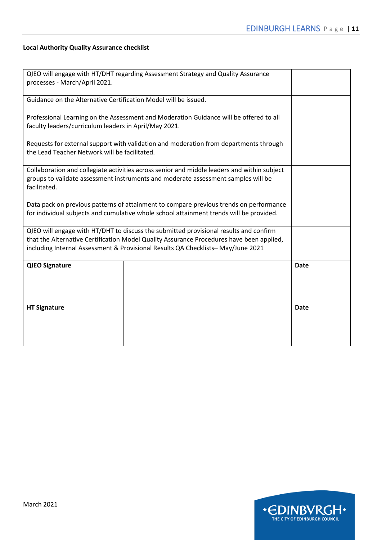#### **Local Authority Quality Assurance checklist**

| processes - March/April 2021.                                   | QIEO will engage with HT/DHT regarding Assessment Strategy and Quality Assurance                                                                                                                                                                                     |             |
|-----------------------------------------------------------------|----------------------------------------------------------------------------------------------------------------------------------------------------------------------------------------------------------------------------------------------------------------------|-------------|
| Guidance on the Alternative Certification Model will be issued. |                                                                                                                                                                                                                                                                      |             |
| faculty leaders/curriculum leaders in April/May 2021.           | Professional Learning on the Assessment and Moderation Guidance will be offered to all                                                                                                                                                                               |             |
| the Lead Teacher Network will be facilitated.                   | Requests for external support with validation and moderation from departments through                                                                                                                                                                                |             |
| facilitated.                                                    | Collaboration and collegiate activities across senior and middle leaders and within subject<br>groups to validate assessment instruments and moderate assessment samples will be                                                                                     |             |
|                                                                 | Data pack on previous patterns of attainment to compare previous trends on performance<br>for individual subjects and cumulative whole school attainment trends will be provided.                                                                                    |             |
|                                                                 | QIEO will engage with HT/DHT to discuss the submitted provisional results and confirm<br>that the Alternative Certification Model Quality Assurance Procedures have been applied,<br>including Internal Assessment & Provisional Results QA Checklists-May/June 2021 |             |
| <b>QIEO Signature</b>                                           |                                                                                                                                                                                                                                                                      | <b>Date</b> |
| <b>HT Signature</b>                                             |                                                                                                                                                                                                                                                                      | <b>Date</b> |

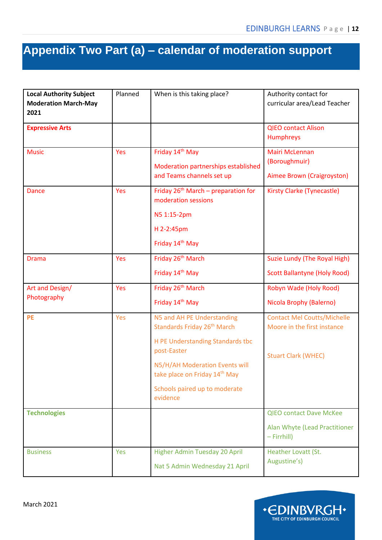# <span id="page-11-0"></span>**Appendix Two Part (a) – calendar of moderation support**

| <b>Local Authority Subject</b><br><b>Moderation March-May</b><br>2021 | Planned | When is this taking place?                                            | Authority contact for<br>curricular area/Lead Teacher             |
|-----------------------------------------------------------------------|---------|-----------------------------------------------------------------------|-------------------------------------------------------------------|
| <b>Expressive Arts</b>                                                |         |                                                                       | <b>QIEO contact Alison</b><br><b>Humphreys</b>                    |
| <b>Music</b>                                                          | Yes     | Friday 14th May                                                       | <b>Mairi McLennan</b>                                             |
|                                                                       |         | Moderation partnerships established<br>and Teams channels set up      | (Boroughmuir)<br>Aimee Brown (Craigroyston)                       |
| <b>Dance</b>                                                          | Yes     | Friday $26th$ March – preparation for<br>moderation sessions          | Kirsty Clarke (Tynecastle)                                        |
|                                                                       |         | N5 1:15-2pm                                                           |                                                                   |
|                                                                       |         | H 2-2:45pm                                                            |                                                                   |
|                                                                       |         | Friday 14th May                                                       |                                                                   |
| <b>Drama</b>                                                          | Yes     | Friday 26 <sup>th</sup> March                                         | Suzie Lundy (The Royal High)                                      |
|                                                                       |         | Friday 14th May                                                       | <b>Scott Ballantyne (Holy Rood)</b>                               |
| Art and Design/                                                       | Yes     | Friday 26 <sup>th</sup> March                                         | Robyn Wade (Holy Rood)                                            |
| Photography                                                           |         | Friday 14th May                                                       | Nicola Brophy (Balerno)                                           |
| <b>PE</b>                                                             | Yes     | N5 and AH PE Understanding<br>Standards Friday 26 <sup>th</sup> March | <b>Contact Mel Coutts/Michelle</b><br>Moore in the first instance |
|                                                                       |         | H PE Understanding Standards tbc<br>post-Easter                       | <b>Stuart Clark (WHEC)</b>                                        |
|                                                                       |         | N5/H/AH Moderation Events will<br>take place on Friday 14th May       |                                                                   |
|                                                                       |         | Schools paired up to moderate<br>evidence                             |                                                                   |
| <b>Technologies</b>                                                   |         |                                                                       | <b>QIEO contact Dave McKee</b>                                    |
|                                                                       |         |                                                                       | Alan Whyte (Lead Practitioner<br>$-$ Firrhill)                    |
| <b>Business</b>                                                       | Yes     | Higher Admin Tuesday 20 April<br>Nat 5 Admin Wednesday 21 April       | Heather Lovatt (St.<br>Augustine's)                               |

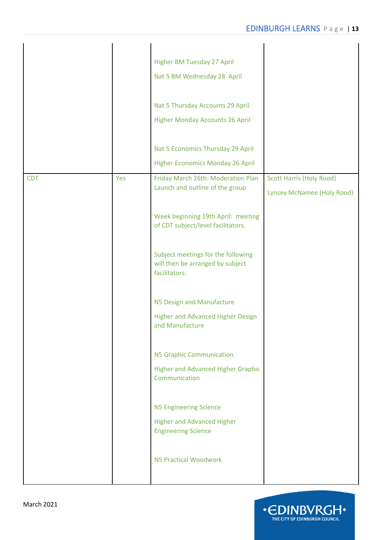|            |     | <b>Higher BM Tuesday 27 April</b><br>Nat 5 BM Wednesday 28 April<br>Nat 5 Thursday Accounts 29 April<br><b>Higher Monday Accounts 26 April</b><br>Nat 5 Economics Thursday 29 April<br><b>Higher Economics Monday 26 April</b>                                                                                                                                                                                                                                                                                                                                                |                                                                      |
|------------|-----|-------------------------------------------------------------------------------------------------------------------------------------------------------------------------------------------------------------------------------------------------------------------------------------------------------------------------------------------------------------------------------------------------------------------------------------------------------------------------------------------------------------------------------------------------------------------------------|----------------------------------------------------------------------|
| <b>CDT</b> | Yes | Friday March 26th: Moderation Plan<br>Launch and outline of the group<br>Week beginning 19th April: meeting<br>of CDT subject/level facilitators.<br>Subject meetings for the following<br>will then be arranged by subject<br>facilitators:<br>N5 Design and Manufacture<br><b>Higher and Advanced Higher Design</b><br>and Manufacture<br><b>N5 Graphic Communication</b><br><b>Higher and Advanced Higher Graphic</b><br>Communication<br><b>N5 Engineering Science</b><br><b>Higher and Advanced Higher</b><br><b>Engineering Science</b><br><b>N5 Practical Woodwork</b> | <b>Scott Harris (Holy Rood)</b><br><b>Lynsey McNamee (Holy Rood)</b> |

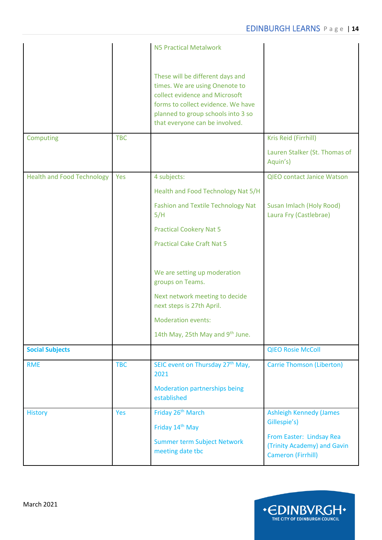| Computing                         | <b>TBC</b> | <b>N5 Practical Metalwork</b><br>These will be different days and<br>times. We are using Onenote to<br>collect evidence and Microsoft<br>forms to collect evidence. We have<br>planned to group schools into 3 so<br>that everyone can be involved. | Kris Reid (Firrhill)<br>Lauren Stalker (St. Thomas of                                |
|-----------------------------------|------------|-----------------------------------------------------------------------------------------------------------------------------------------------------------------------------------------------------------------------------------------------------|--------------------------------------------------------------------------------------|
|                                   |            |                                                                                                                                                                                                                                                     | Aquin's)                                                                             |
| <b>Health and Food Technology</b> | Yes        | 4 subjects:                                                                                                                                                                                                                                         | <b>QIEO contact Janice Watson</b>                                                    |
|                                   |            | Health and Food Technology Nat 5/H                                                                                                                                                                                                                  |                                                                                      |
|                                   |            | <b>Fashion and Textile Technology Nat</b><br>5/H                                                                                                                                                                                                    | Susan Imlach (Holy Rood)<br>Laura Fry (Castlebrae)                                   |
|                                   |            | <b>Practical Cookery Nat 5</b>                                                                                                                                                                                                                      |                                                                                      |
|                                   |            | <b>Practical Cake Craft Nat 5</b>                                                                                                                                                                                                                   |                                                                                      |
|                                   |            | We are setting up moderation<br>groups on Teams.                                                                                                                                                                                                    |                                                                                      |
|                                   |            | Next network meeting to decide<br>next steps is 27th April.                                                                                                                                                                                         |                                                                                      |
|                                   |            | <b>Moderation events:</b>                                                                                                                                                                                                                           |                                                                                      |
|                                   |            | 14th May, 25th May and 9th June.                                                                                                                                                                                                                    |                                                                                      |
| <b>Social Subjects</b>            |            |                                                                                                                                                                                                                                                     | <b>QIEO Rosie McColl</b>                                                             |
| <b>RME</b>                        | <b>TBC</b> | SEIC event on Thursday 27 <sup>th</sup> May,<br>2021                                                                                                                                                                                                | <b>Carrie Thomson (Liberton)</b>                                                     |
|                                   |            | <b>Moderation partnerships being</b><br>established                                                                                                                                                                                                 |                                                                                      |
| <b>History</b>                    | Yes        | Friday 26 <sup>th</sup> March                                                                                                                                                                                                                       | <b>Ashleigh Kennedy (James</b>                                                       |
|                                   |            | Friday 14 <sup>th</sup> May                                                                                                                                                                                                                         | Gillespie's)                                                                         |
|                                   |            | <b>Summer term Subject Network</b><br>meeting date tbc                                                                                                                                                                                              | From Easter: Lindsay Rea<br>(Trinity Academy) and Gavin<br><b>Cameron (Firrhill)</b> |

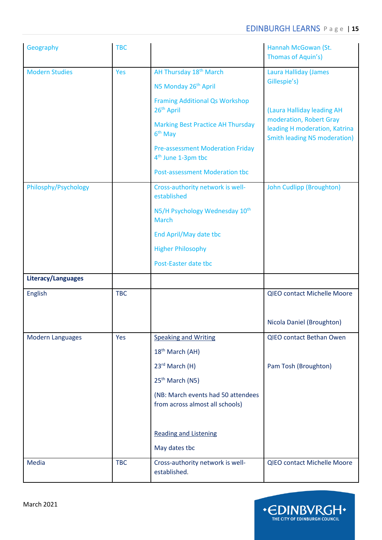| Geography               | <b>TBC</b> |                                                                           | Hannah McGowan (St.<br>Thomas of Aquin's)                                                       |
|-------------------------|------------|---------------------------------------------------------------------------|-------------------------------------------------------------------------------------------------|
| <b>Modern Studies</b>   | Yes        | AH Thursday 18 <sup>th</sup> March                                        | <b>Laura Halliday (James</b>                                                                    |
|                         |            | N5 Monday 26th April                                                      | Gillespie's)                                                                                    |
|                         |            | <b>Framing Additional Qs Workshop</b><br>26 <sup>th</sup> April           | (Laura Halliday leading AH                                                                      |
|                         |            | <b>Marking Best Practice AH Thursday</b><br>$6th$ May                     | moderation, Robert Gray<br>leading H moderation, Katrina<br><b>Smith leading N5 moderation)</b> |
|                         |            | <b>Pre-assessment Moderation Friday</b><br>4 <sup>th</sup> June 1-3pm tbc |                                                                                                 |
|                         |            | <b>Post-assessment Moderation tbc</b>                                     |                                                                                                 |
| Philosphy/Psychology    |            | Cross-authority network is well-<br>established                           | <b>John Cudlipp (Broughton)</b>                                                                 |
|                         |            | N5/H Psychology Wednesday 10th<br><b>March</b>                            |                                                                                                 |
|                         |            | End April/May date tbc                                                    |                                                                                                 |
|                         |            | <b>Higher Philosophy</b>                                                  |                                                                                                 |
|                         |            | Post-Easter date tbc                                                      |                                                                                                 |
| Literacy/Languages      |            |                                                                           |                                                                                                 |
| <b>English</b>          | <b>TBC</b> |                                                                           | QIEO contact Michelle Moore                                                                     |
|                         |            |                                                                           |                                                                                                 |
|                         |            |                                                                           | Nicola Daniel (Broughton)                                                                       |
| <b>Modern Languages</b> | Yes        | <b>Speaking and Writing</b>                                               | QIEO contact Bethan Owen                                                                        |
|                         |            | 18 <sup>th</sup> March (AH)                                               |                                                                                                 |
|                         |            | 23rd March (H)                                                            | Pam Tosh (Broughton)                                                                            |
|                         |            | 25 <sup>th</sup> March (N5)                                               |                                                                                                 |
|                         |            | (NB: March events had 50 attendees<br>from across almost all schools)     |                                                                                                 |
|                         |            |                                                                           |                                                                                                 |
|                         |            | <b>Reading and Listening</b>                                              |                                                                                                 |
|                         |            | May dates tbc                                                             |                                                                                                 |
| <b>Media</b>            | <b>TBC</b> | Cross-authority network is well-<br>established.                          | QIEO contact Michelle Moore                                                                     |

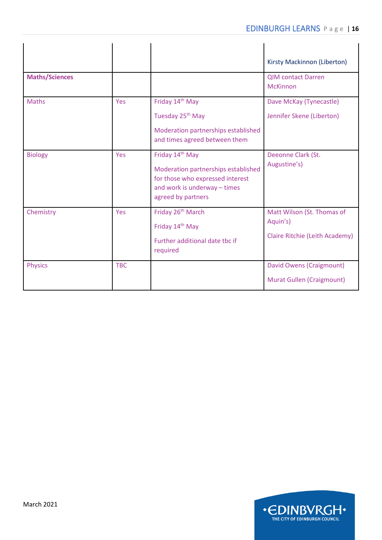|                       |            |                                                                                                                                                  | Kirsty Mackinnon (Liberton)                                              |
|-----------------------|------------|--------------------------------------------------------------------------------------------------------------------------------------------------|--------------------------------------------------------------------------|
| <b>Maths/Sciences</b> |            |                                                                                                                                                  | <b>OIM contact Darren</b><br><b>McKinnon</b>                             |
| <b>Maths</b>          | Yes        | Friday 14 <sup>th</sup> May<br>Tuesday 25 <sup>th</sup> May<br>Moderation partnerships established<br>and times agreed between them              | Dave McKay (Tynecastle)<br>Jennifer Skene (Liberton)                     |
| <b>Biology</b>        | Yes        | Friday 14th May<br>Moderation partnerships established<br>for those who expressed interest<br>and work is underway - times<br>agreed by partners | Deeonne Clark (St.<br>Augustine's)                                       |
| Chemistry             | Yes        | Friday 26 <sup>th</sup> March<br>Friday 14 <sup>th</sup> May<br>Further additional date tbc if<br>required                                       | Matt Wilson (St. Thomas of<br>Aquin's)<br>Claire Ritchie (Leith Academy) |
| <b>Physics</b>        | <b>TBC</b> |                                                                                                                                                  | David Owens (Craigmount)<br>Murat Gullen (Craigmount)                    |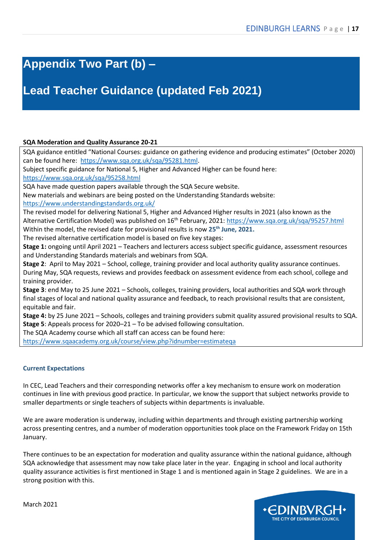### <span id="page-16-0"></span>**Appendix Two Part (b) –**

### **Lead Teacher Guidance (updated Feb 2021)**

#### **SQA Moderation and Quality Assurance 20-21**

SQA guidance entitled "National Courses: guidance on gathering evidence and producing estimates" (October 2020) can be found here: [https://www.sqa.org.uk/sqa/95281.html.](https://www.sqa.org.uk/sqa/95281.html)

Subject specific guidance for National 5, Higher and Advanced Higher can be found here:

<https://www.sqa.org.uk/sqa/95258.html>

SQA have made question papers available through the SQA Secure website.

New materials and webinars are being posted on the Understanding Standards website:

<https://www.understandingstandards.org.uk/>

The revised model for delivering National 5, Higher and Advanced Higher results in 2021 (also known as the Alternative Certification Model) was published on 16<sup>th</sup> February, 2021:<https://www.sqa.org.uk/sqa/95257.html> Within the model, the revised date for provisional results is now **25th June, 2021.**

The revised alternative certification model is based on five key stages:

**Stage 1:** ongoing until April 2021 – Teachers and lecturers access subject specific guidance, assessment resources and Understanding Standards materials and webinars from SQA.

**Stage 2**: April to May 2021 – School, college, training provider and local authority quality assurance continues. During May, SQA requests, reviews and provides feedback on assessment evidence from each school, college and training provider.

**Stage 3**: end May to 25 June 2021 – Schools, colleges, training providers, local authorities and SQA work through final stages of local and national quality assurance and feedback, to reach provisional results that are consistent, equitable and fair.

**Stage 4:** by 25 June 2021 – Schools, colleges and training providers submit quality assured provisional results to SQA. **Stage 5**: Appeals process for 2020–21 – To be advised following consultation.

The SQA Academy course which all staff can access can be found here:

<https://www.sqaacademy.org.uk/course/view.php?idnumber=estimateqa>

#### **Current Expectations**

In CEC, Lead Teachers and their corresponding networks offer a key mechanism to ensure work on moderation continues in line with previous good practice. In particular, we know the support that subject networks provide to smaller departments or single teachers of subjects within departments is invaluable.

We are aware moderation is underway, including within departments and through existing partnership working across presenting centres, and a number of moderation opportunities took place on the Framework Friday on 15th January.

There continues to be an expectation for moderation and quality assurance within the national guidance, although SQA acknowledge that assessment may now take place later in the year. Engaging in school and local authority quality assurance activities is first mentioned in Stage 1 and is mentioned again in Stage 2 guidelines. We are in a strong position with this.

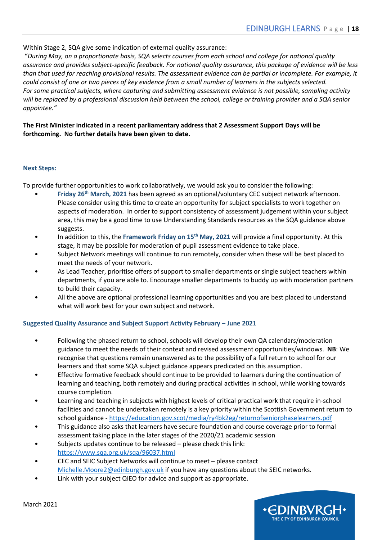Within Stage 2, SQA give some indication of external quality assurance:

"*During May, on a proportionate basis, SQA selects courses from each school and college for national quality assurance and provides subject-specific feedback. For national quality assurance, this package of evidence will be less than that used for reaching provisional results. The assessment evidence can be partial or incomplete. For example, it could consist of one or two pieces of key evidence from a small number of learners in the subjects selected. For some practical subjects, where capturing and submitting assessment evidence is not possible, sampling activity will be replaced by a professional discussion held between the school, college or training provider and a SQA senior appointee."*

**The First Minister indicated in a recent parliamentary address that 2 Assessment Support Days will be forthcoming. No further details have been given to date.**

#### **Next Steps:**

To provide further opportunities to work collaboratively, we would ask you to consider the following:

- **Friday 26th March, 2021** has been agreed as an optional/voluntary CEC subject network afternoon. Please consider using this time to create an opportunity for subject specialists to work together on aspects of moderation. In order to support consistency of assessment judgement within your subject area, this may be a good time to use Understanding Standards resources as the SQA guidance above suggests.
- In addition to this, the **Framework Friday on 15th May, 2021** will provide a final opportunity. At this stage, it may be possible for moderation of pupil assessment evidence to take place.
- Subject Network meetings will continue to run remotely, consider when these will be best placed to meet the needs of your network.
- As Lead Teacher, prioritise offers of support to smaller departments or single subject teachers within departments, if you are able to. Encourage smaller departments to buddy up with moderation partners to build their capacity.
- All the above are optional professional learning opportunities and you are best placed to understand what will work best for your own subject and network.

#### **Suggested Quality Assurance and Subject Support Activity February – June 2021**

- Following the phased return to school, schools will develop their own QA calendars/moderation guidance to meet the needs of their context and revised assessment opportunities/windows. **NB**: We recognise that questions remain unanswered as to the possibility of a full return to school for our learners and that some SQA subject guidance appears predicated on this assumption.
- Effective formative feedback should continue to be provided to learners during the continuation of learning and teaching, both remotely and during practical activities in school, while working towards course completion.
- Learning and teaching in subjects with highest levels of critical practical work that require in-school facilities and cannot be undertaken remotely is a key priority within the Scottish Government return to school guidance - <https://education.gov.scot/media/ry4bk2eg/returnofseniorphaselearners.pdf>
- This guidance also asks that learners have secure foundation and course coverage prior to formal assessment taking place in the later stages of the 2020/21 academic session
- Subjects updates continue to be released please check this link: <https://www.sqa.org.uk/sqa/96037.html>
- CEC and SEIC Subject Networks will continue to meet please contact [Michelle.Moore2@edinburgh.gov.uk](mailto:Michelle.Moore2@edinburgh.gov.uk) if you have any questions about the SEIC networks.
- Link with your subject QIEO for advice and support as appropriate.

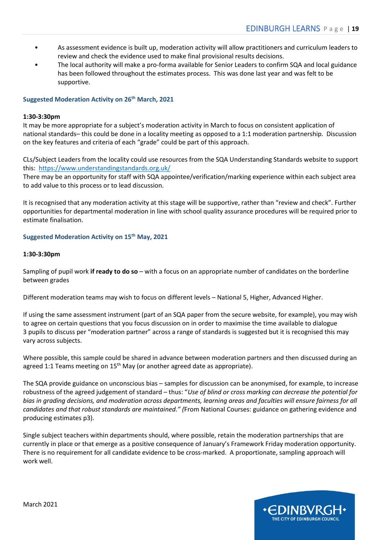- As assessment evidence is built up, moderation activity will allow practitioners and curriculum leaders to review and check the evidence used to make final provisional results decisions.
- The local authority will make a pro-forma available for Senior Leaders to confirm SQA and local guidance has been followed throughout the estimates process. This was done last year and was felt to be supportive.

#### **Suggested Moderation Activity on 26th March, 2021**

#### **1:30-3:30pm**

It may be more appropriate for a subject's moderation activity in March to focus on consistent application of national standards– this could be done in a locality meeting as opposed to a 1:1 moderation partnership. Discussion on the key features and criteria of each "grade" could be part of this approach.

CLs/Subject Leaders from the locality could use resources from the SQA Understanding Standards website to support this: <https://www.understandingstandards.org.uk/>

There may be an opportunity for staff with SQA appointee/verification/marking experience within each subject area to add value to this process or to lead discussion.

It is recognised that any moderation activity at this stage will be supportive, rather than "review and check". Further opportunities for departmental moderation in line with school quality assurance procedures will be required prior to estimate finalisation.

**Suggested Moderation Activity on 15th May, 2021**

#### **1:30-3:30pm**

Sampling of pupil work **if ready to do so** – with a focus on an appropriate number of candidates on the borderline between grades

Different moderation teams may wish to focus on different levels – National 5, Higher, Advanced Higher.

If using the same assessment instrument (part of an SQA paper from the secure website, for example), you may wish to agree on certain questions that you focus discussion on in order to maximise the time available to dialogue 3 pupils to discuss per "moderation partner" across a range of standards is suggested but it is recognised this may vary across subjects.

Where possible, this sample could be shared in advance between moderation partners and then discussed during an agreed 1:1 Teams meeting on 15<sup>th</sup> May (or another agreed date as appropriate).

The SQA provide guidance on unconscious bias – samples for discussion can be anonymised, for example, to increase robustness of the agreed judgement of standard – thus: "*Use of blind or cross marking can decrease the potential for bias in grading decisions, and moderation across departments, learning areas and faculties will ensure fairness for all candidates and that robust standards are maintained." (*From National Courses: guidance on gathering evidence and producing estimates p3).

Single subject teachers within departments should, where possible, retain the moderation partnerships that are currently in place or that emerge as a positive consequence of January's Framework Friday moderation opportunity. There is no requirement for all candidate evidence to be cross-marked. A proportionate, sampling approach will work well.

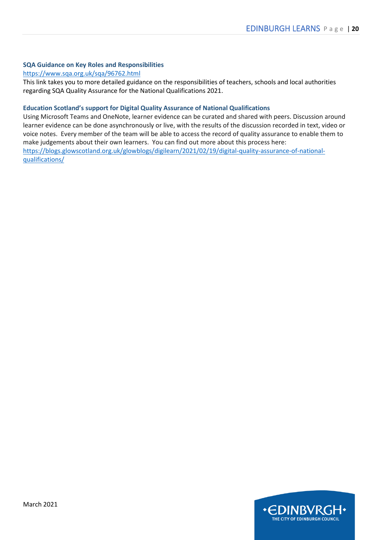#### **SQA Guidance on Key Roles and Responsibilities**

#### <https://www.sqa.org.uk/sqa/96762.html>

This link takes you to more detailed guidance on the responsibilities of teachers, schools and local authorities regarding SQA Quality Assurance for the National Qualifications 2021.

#### **Education Scotland's support for Digital Quality Assurance of National Qualifications**

Using Microsoft Teams and OneNote, learner evidence can be curated and shared with peers. Discussion around learner evidence can be done asynchronously or live, with the results of the discussion recorded in text, video or voice notes. Every member of the team will be able to access the record of quality assurance to enable them to make judgements about their own learners. You can find out more about this process here: [https://blogs.glowscotland.org.uk/glowblogs/digilearn/2021/02/19/digital-quality-assurance-of-national](https://blogs.glowscotland.org.uk/glowblogs/digilearn/2021/02/19/digital-quality-assurance-of-national-qualifications/)[qualifications/](https://blogs.glowscotland.org.uk/glowblogs/digilearn/2021/02/19/digital-quality-assurance-of-national-qualifications/)

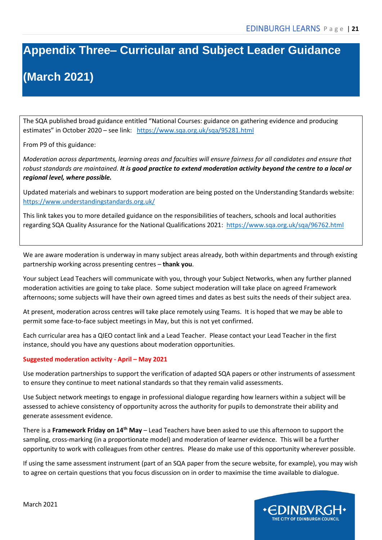# <span id="page-20-0"></span>**Appendix Three– Curricular and Subject Leader Guidance**

# **(March 2021)**

The SQA published broad guidance entitled "National Courses: guidance on gathering evidence and producing estimates" in October 2020 – see link: <https://www.sqa.org.uk/sqa/95281.html>

From P9 of this guidance:

*Moderation across departments, learning areas and faculties will ensure fairness for all candidates and ensure that robust standards are maintained. It is good practice to extend moderation activity beyond the centre to a local or regional level, where possible.*

Updated materials and webinars to support moderation are being posted on the Understanding Standards website: <https://www.understandingstandards.org.uk/>

This link takes you to more detailed guidance on the responsibilities of teachers, schools and local authorities regarding SQA Quality Assurance for the National Qualifications 2021: <https://www.sqa.org.uk/sqa/96762.html>

We are aware moderation is underway in many subject areas already, both within departments and through existing partnership working across presenting centres – **thank you**.

Your subject Lead Teachers will communicate with you, through your Subject Networks, when any further planned moderation activities are going to take place. Some subject moderation will take place on agreed Framework afternoons; some subjects will have their own agreed times and dates as best suits the needs of their subject area.

At present, moderation across centres will take place remotely using Teams. It is hoped that we may be able to permit some face-to-face subject meetings in May, but this is not yet confirmed.

Each curricular area has a QIEO contact link and a Lead Teacher. Please contact your Lead Teacher in the first instance, should you have any questions about moderation opportunities.

#### **Suggested moderation activity - April – May 2021**

Use moderation partnerships to support the verification of adapted SQA papers or other instruments of assessment to ensure they continue to meet national standards so that they remain valid assessments.

Use Subject network meetings to engage in professional dialogue regarding how learners within a subject will be assessed to achieve consistency of opportunity across the authority for pupils to demonstrate their ability and generate assessment evidence.

There is a **Framework Friday on 14th May** – Lead Teachers have been asked to use this afternoon to support the sampling, cross-marking (in a proportionate model) and moderation of learner evidence. This will be a further opportunity to work with colleagues from other centres. Please do make use of this opportunity wherever possible.

If using the same assessment instrument (part of an SQA paper from the secure website, for example), you may wish to agree on certain questions that you focus discussion on in order to maximise the time available to dialogue.

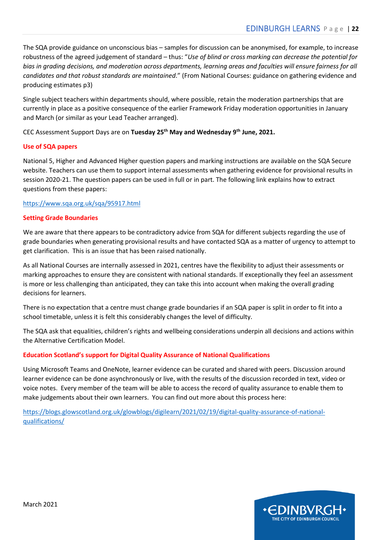The SQA provide guidance on unconscious bias – samples for discussion can be anonymised, for example, to increase robustness of the agreed judgement of standard – thus: "*Use of blind or cross marking can decrease the potential for bias in grading decisions, and moderation across departments, learning areas and faculties will ensure fairness for all candidates and that robust standards are maintained*." (From National Courses: guidance on gathering evidence and producing estimates p3)

Single subject teachers within departments should, where possible, retain the moderation partnerships that are currently in place as a positive consequence of the earlier Framework Friday moderation opportunities in January and March (or similar as your Lead Teacher arranged).

CEC Assessment Support Days are on **Tuesday 25th May and Wednesday 9th June, 2021.**

#### **Use of SQA papers**

National 5, Higher and Advanced Higher question papers and marking instructions are available on the SQA Secure website. Teachers can use them to support internal assessments when gathering evidence for provisional results in session 2020-21. The question papers can be used in full or in part. The following link explains how to extract questions from these papers:

#### <https://www.sqa.org.uk/sqa/95917.html>

#### **Setting Grade Boundaries**

We are aware that there appears to be contradictory advice from SQA for different subjects regarding the use of grade boundaries when generating provisional results and have contacted SQA as a matter of urgency to attempt to get clarification. This is an issue that has been raised nationally.

As all National Courses are internally assessed in 2021, centres have the flexibility to adjust their assessments or marking approaches to ensure they are consistent with national standards. If exceptionally they feel an assessment is more or less challenging than anticipated, they can take this into account when making the overall grading decisions for learners.

There is no expectation that a centre must change grade boundaries if an SQA paper is split in order to fit into a school timetable, unless it is felt this considerably changes the level of difficulty.

The SQA ask that equalities, children's rights and wellbeing considerations underpin all decisions and actions within the Alternative Certification Model.

#### **Education Scotland's support for Digital Quality Assurance of National Qualifications**

Using Microsoft Teams and OneNote, learner evidence can be curated and shared with peers. Discussion around learner evidence can be done asynchronously or live, with the results of the discussion recorded in text, video or voice notes. Every member of the team will be able to access the record of quality assurance to enable them to make judgements about their own learners. You can find out more about this process here:

[https://blogs.glowscotland.org.uk/glowblogs/digilearn/2021/02/19/digital-quality-assurance-of-national](https://blogs.glowscotland.org.uk/glowblogs/digilearn/2021/02/19/digital-quality-assurance-of-national-qualifications/)[qualifications/](https://blogs.glowscotland.org.uk/glowblogs/digilearn/2021/02/19/digital-quality-assurance-of-national-qualifications/)

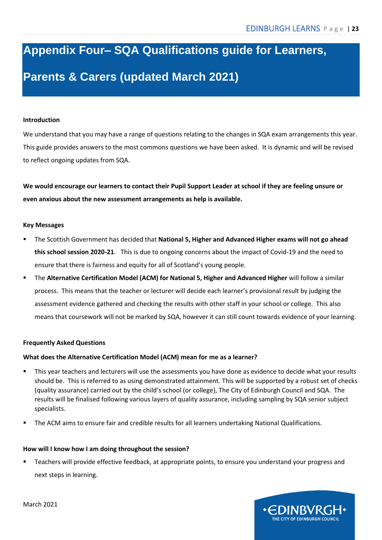# <span id="page-22-0"></span>**Appendix Four– SQA Qualifications guide for Learners, Parents & Carers (updated March 2021)**

#### **Introduction**

We understand that you may have a range of questions relating to the changes in SQA exam arrangements this year. This guide provides answers to the most commons questions we have been asked. It is dynamic and will be revised to reflect ongoing updates from SQA.

**We would encourage our learners to contact their Pupil Support Leader at school if they are feeling unsure or even anxious about the new assessment arrangements as help is available.**

#### **Key Messages**

- The Scottish Government has decided that National 5, Higher and Advanced Higher exams will not go ahead **this school session 2020-21**. This is due to ongoing concerns about the impact of Covid-19 and the need to ensure that there is fairness and equity for all of Scotland's young people.
- The **Alternative Certification Model (ACM) for National 5, Higher and Advanced Higher** will follow a similar process. This means that the teacher or lecturer will decide each learner's provisional result by judging the assessment evidence gathered and checking the results with other staff in your school or college. This also means that coursework will not be marked by SQA, however it can still count towards evidence of your learning.

#### **Frequently Asked Questions**

#### **What does the Alternative Certification Model (ACM) mean for me as a learner?**

- This year teachers and lecturers will use the assessments you have done as evidence to decide what your results should be. This is referred to as using demonstrated attainment. This will be supported by a robust set of checks (quality assurance) carried out by the child's school (or college), The City of Edinburgh Council and SQA. The results will be finalised following various layers of quality assurance, including sampling by SQA senior subject specialists.
- The ACM aims to ensure fair and credible results for all learners undertaking National Qualifications.

#### **How will I know how I am doing throughout the session?**

Teachers will provide effective feedback, at appropriate points, to ensure you understand your progress and next steps in learning.

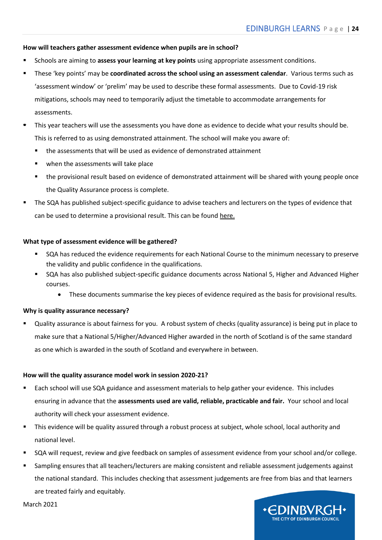INBVRO **HE CITY OF EDINBURGH COUNCIL** 

#### **How will teachers gather assessment evidence when pupils are in school?**

- Schools are aiming to **assess your learning at key points** using appropriate assessment conditions.
- These 'key points' may be **coordinated across the school using an assessment calendar**. Various terms such as 'assessment window' or 'prelim' may be used to describe these formal assessments. Due to Covid-19 risk mitigations, schools may need to temporarily adjust the timetable to accommodate arrangements for assessments.
- <span id="page-23-0"></span>This year teachers will use the assessments you have done as evidence to decide what your results should be. This is referred to as using demonstrated attainment. The school will make you aware of:
	- the assessments that will be used as evidence of demonstrated attainment
	- when the assessments will take place
	- the provisional result based on evidence of demonstrated attainment will be shared with young people once the Quality Assurance process is complete.
- The SQA has published subject-specific guidance to advise teachers and lecturers on the types of evidence that can be used to determine a provisional result. This can be foun[d here.](https://www.sqa.org.uk/sqa/95258.html.)

#### **What type of assessment evidence will be gathered?**

- **SQA has reduced the evidence requirements for each National Course to the minimum necessary to preserve** the validity and public confidence in the qualifications.
- SQA has also published subject-specific guidance documents across National 5, Higher and Advanced Higher courses.
	- These documents summarise the key pieces of evidence required as the basis for provisional results.

#### **Why is quality assurance necessary?**

Quality assurance is about fairness for you. A robust system of checks (quality assurance) is being put in place to make sure that a National 5/Higher/Advanced Higher awarded in the north of Scotland is of the same standard as one which is awarded in the south of Scotland and everywhere in between.

#### **How will the quality assurance model work in session 2020-21?**

- Each school will use SQA guidance and assessment materials to help gather your evidence. This includes ensuring in advance that the **assessments used are valid, reliable, practicable and fair.** Your school and local authority will check your assessment evidence.
- This evidence will be quality assured through a robust process at subject, whole school, local authority and national level.
- SQA will request, review and give feedback on samples of assessment evidence from your school and/or college.
- Sampling ensures that all teachers/lecturers are making consistent and reliable assessment judgements against the national standard. This includes checking that assessment judgements are free from bias and that learners are treated fairly and equitably.

March 2021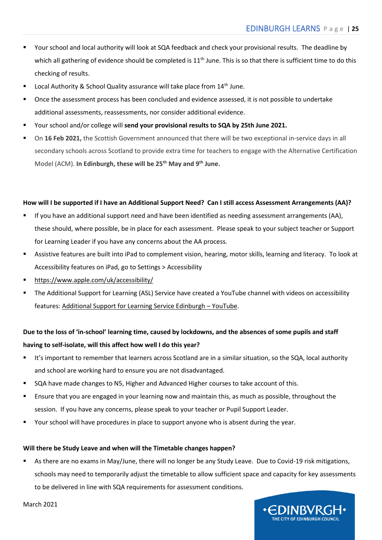- Your school and local authority will look at SQA feedback and check your provisional results. The deadline by which all gathering of evidence should be completed is  $11<sup>th</sup>$  June. This is so that there is sufficient time to do this checking of results.
- Local Authority & School Quality assurance will take place from  $14<sup>th</sup>$  June.
- Once the assessment process has been concluded and evidence assessed, it is not possible to undertake additional assessments, reassessments, nor consider additional evidence.
- Your school and/or college will send your provisional results to SQA by 25th June 2021.
- On 16 Feb 2021, the Scottish Government announced that there will be two exceptional in-service days in all secondary schools across Scotland to provide extra time for teachers to engage with the Alternative Certification Model (ACM). **In Edinburgh, these will be 25th May and 9th June.**

#### **How will I be supported if I have an Additional Support Need? Can I still access Assessment Arrangements (AA)?**

- If you have an additional support need and have been identified as needing assessment arrangements (AA), these should, where possible, be in place for each assessment. Please speak to your subject teacher or Support for Learning Leader if you have any concerns about the AA process.
- Assistive features are built into iPad to complement vision, hearing, motor skills, learning and literacy. To look at Accessibility features on iPad, go to Settings > Accessibility
- <https://www.apple.com/uk/accessibility/>
- The Additional Support for Learning (ASL) Service have created a YouTube channel with videos on accessibility features[: Additional Support for Learning Service Edinburgh](https://www.youtube.com/channel/UCkEC05gtg9nlXPX065bLJOA?view_as=subscriber) – YouTube.

#### **Due to the loss of 'in-school' learning time, caused by lockdowns, and the absences of some pupils and staff having to self-isolate, will this affect how well I do this year?**

- It's important to remember that learners across Scotland are in a similar situation, so the SQA, local authority and school are working hard to ensure you are not disadvantaged.
- SQA have made changes to N5, Higher and Advanced Higher courses to take account of this.
- Ensure that you are engaged in your learning now and maintain this, as much as possible, throughout the session. If you have any concerns, please speak to your teacher or Pupil Support Leader.
- Your school will have procedures in place to support anyone who is absent during the year.

#### **Will there be Study Leave and when will the Timetable changes happen?**

As there are no exams in May/June, there will no longer be any Study Leave. Due to Covid-19 risk mitigations, schools may need to temporarily adjust the timetable to allow sufficient space and capacity for key assessments to be delivered in line with SQA requirements for assessment conditions.



March 2021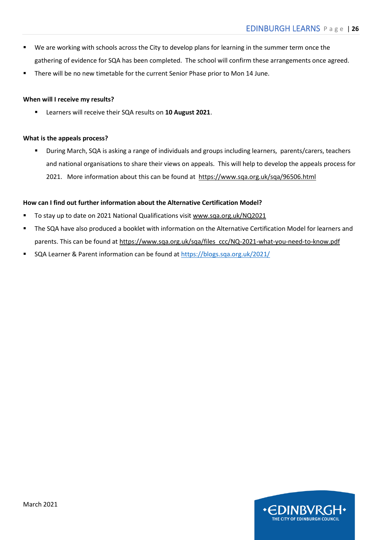- We are working with schools across the City to develop plans for learning in the summer term once the gathering of evidence for SQA has been completed. The school will confirm these arrangements once agreed.
- There will be no new timetable for the current Senior Phase prior to Mon 14 June.

#### **When will I receive my results?**

▪ Learners will receive their SQA results on **10 August 2021**.

#### **What is the appeals process?**

During March, SQA is asking a range of individuals and groups including learners, parents/carers, teachers and national organisations to share their views on appeals. This will help to develop the appeals process for 2021. More information about this can be found at<https://www.sqa.org.uk/sqa/96506.html>

#### **How can I find out further information about the Alternative Certification Model?**

- To stay up to date on 2021 National Qualifications visi[t www.sqa.org.uk/NQ2021](https://www.sqa.org.uk/sqa/95157.html)
- The SQA have also produced a booklet with information on the Alternative Certification Model for learners and parents. This can be found at [https://www.sqa.org.uk/sqa/files\\_ccc/NQ-2021-what-you-need-to-know.pdf](https://www.sqa.org.uk/sqa/files_ccc/NQ-2021-what-you-need-to-know.pdf)
- SQA Learner & Parent information can be found at<https://blogs.sqa.org.uk/2021/>

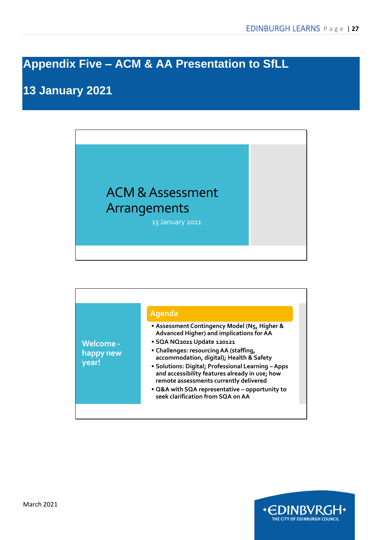## <span id="page-26-0"></span>**Appendix Five – ACM & AA Presentation to SfLL**

## **13 January 2021**



|                               | Agenda                                                                                                                                         |
|-------------------------------|------------------------------------------------------------------------------------------------------------------------------------------------|
|                               | • Assessment Contingency Model (N5, Higher &<br>Advanced Higher) and implications for AA<br>· SQA NQ2021 Update 120121                         |
| <b>Welcome -</b><br>happy new | • Challenges: resourcing AA (staffing,<br>accommodation, digital); Health & Safety                                                             |
| year!                         | • Solutions: Digital; Professional Learning - Apps<br>and accessibility features already in use; how<br>remote assessments currently delivered |
|                               | • Q&A with SQA representative - opportunity to<br>seek clarification from SQA on AA                                                            |

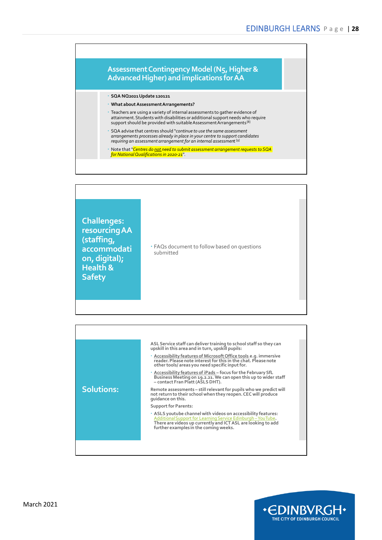# **Advanced Higher) and implications for AA**

- **SQA NQ2021 Update 120121**
- **What about Assessment Arrangements?**
- Teachers are using a variety of internal assessments to gather evidence of attainment. Students with disabilities or additional support needs who require support should be provided with suitable Assessment Arrangements<sup>[8]</sup>
- SQA advise that centres should "*continue to use the same assessment arrangements processes already in place in your centre to support candidates requiring an assessment arrangement for an internal assessmen*t [9]
- Note that "*Centres do not need to submit assessment arrangement requests to SQA for National Qualifications in 2020-21*".





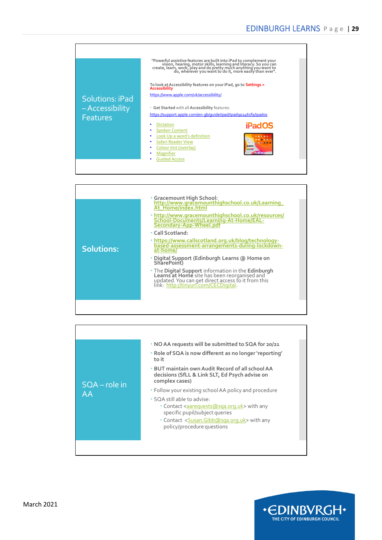

|                   | · Gracemount High School:<br>http://www.gracemounthighschool.co.uk/Learning<br>At Home/index.html                                                                                                |
|-------------------|--------------------------------------------------------------------------------------------------------------------------------------------------------------------------------------------------|
|                   | · http://www.gracemounthighschool.co.uk/resources/<br>School-Documents/Learning-At-Home/EAL-<br>Secondary-App-Wheel.pdf                                                                          |
|                   | • Call Scotland:                                                                                                                                                                                 |
| <b>Solutions:</b> | · https://www.callscotland.org.uk/blog/technology-<br>based-assessment-arrangements-during-lockdown-<br>at-home/                                                                                 |
|                   | · Digital Support (Edinburgh Learns @ Home on<br>SharePoint)                                                                                                                                     |
|                   | • The Digital Support information in the Edinburgh<br>Learns at Home site has been reorganised and<br>updated. You can get direct access to it from this<br>link: http://tinyurl.com/CECDigital. |
|                   |                                                                                                                                                                                                  |

|--|

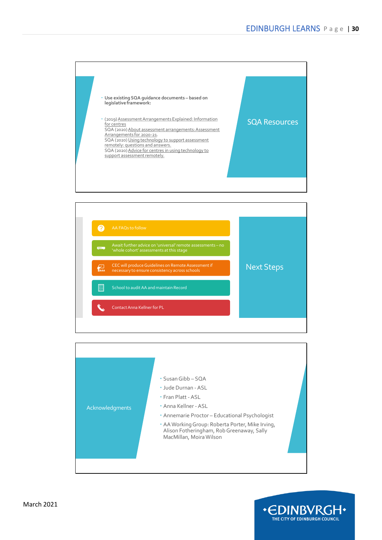





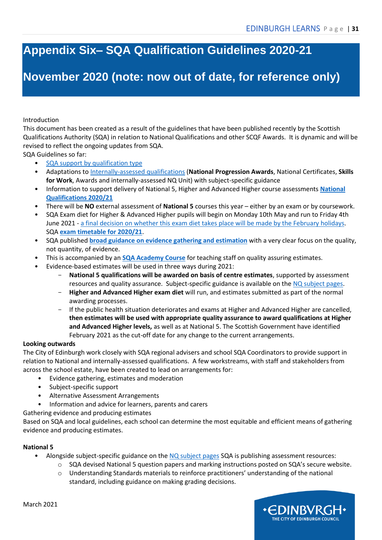### <span id="page-30-0"></span>**Appendix Six– SQA Qualification Guidelines 2020-21**

### **November 2020 (note: now out of date, for reference only)**

#### Introduction

This document has been created as a result of the guidelines that have been published recently by the Scottish Qualifications Authority (SQA) in relation to National Qualifications and other SCQF Awards. It is dynamic and will be revised to reflect the ongoing updates from SQA.

SQA Guidelines so far:

- [SQA support by qualification type](https://www.sqa.org.uk/sqa/94017.html)
- Adaptations t[o Internally-assessed qualifications](https://www.sqa.org.uk/sqa/95044.html) (**National Progression Awards**, National Certificates, **Skills for Work**, Awards and internally-assessed NQ Unit) with subject-specific guidance
- Information to support delivery of National 5, Higher and Advanced Higher course assessments **[National](https://www.sqa.org.uk/sqa/95157.html)  [Qualifications 2020/21](https://www.sqa.org.uk/sqa/95157.html)**
- There will be **NO** external assessment of **National 5** courses this year either by an exam or by coursework.
- SQA Exam diet for Higher & Advanced Higher pupils will begin on Monday 10th May and run to Friday 4th June 2021 - [a final decision on whether this exam diet takes place will be made by the February holidays.](https://www.gov.scot/news/sqa-awards-2021/) SQA **[exam timetable for 2020/21](https://www.sqa.org.uk/sqa/files_ccc/exam-timetable-2021.pdf)**.
- SQA published **[broad guidance on evidence gathering and estimation](https://www.sqa.org.uk/sqa/files_ccc/nq-estimates-guidance-2020-21.pdf)** with a very clear focus on the quality, not quantity, of evidence.
- This is accompanied by an **[SQA Academy Course](https://www.sqaacademy.org.uk/estimateqa)** for teaching staff on quality assuring estimates.
	- Evidence-based estimates will be used in three ways during 2021:
		- **National 5 qualifications will be awarded on basis of centre estimates**, supported by assessment resources and quality assurance. Subject-specific guidance is available on th[e NQ subject pages.](https://www.sqa.org.uk/sqa/45777.html)
		- **Higher and Advanced Higher exam diet** will run, and estimates submitted as part of the normal awarding processes.
		- If the public health situation deteriorates and exams at Higher and Advanced Higher are cancelled, **then estimates will be used with appropriate quality assurance to award qualifications at Higher and Advanced Higher levels,** as well as at National 5. The Scottish Government have identified February 2021 as the cut-off date for any change to the current arrangements.

#### **Looking outwards**

The City of Edinburgh work closely with SQA regional advisers and school SQA Coordinators to provide support in relation to National and internally-assessed qualifications. A few workstreams, with staff and stakeholders from across the school estate, have been created to lead on arrangements for:

- Evidence gathering, estimates and moderation
- Subject-specific support
- Alternative Assessment Arrangements
- Information and advice for learners, parents and carers

Gathering evidence and producing estimates

Based on SQA and local guidelines, each school can determine the most equitable and efficient means of gathering evidence and producing estimates.

#### **National 5**

- Alongside subject-specific guidance on the [NQ subject pages](https://www.sqa.org.uk/sqa/45777.html) SQA is publishing assessment resources:
	- o SQA devised National 5 question papers and marking instructions posted on SQA's secure website.
	- o Understanding Standards materials to reinforce practitioners' understanding of the national standard, including guidance on making grading decisions.